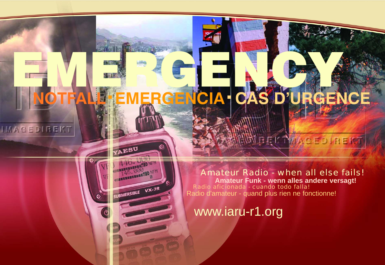# EMERGENCY **NOTFALL**.**EMERGENCIA**. **CAS D'URGENCE**

YAESU

A40. DENER 440.

145.000 NEM

SUBMERSIBLE VX-7R

IMAGEDIREKT

Amateur Radio - when all else fails! **Amateur Funk - wenn alles andere versagt!** Radio d'amateur - quand plus rien ne fonctionne! Radio aficionada - cuando todo falla!

**GELTMAGEDIREKT** 

www.iaru-r1.org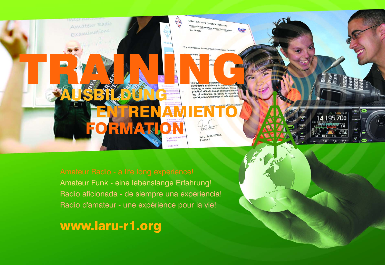

Amateur Funk - eine lebenslange Erfahrung! Radio aficionada - de siempre una experiencia! Radio d'amateur - une expérience pour la vie!

## www.iaru-r1.org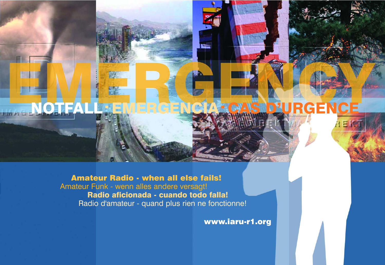## NOTFALL. EMERGENCIA. CAS D'URGENCE **RIVERSIDE** 局

## Amateur Radio - when all else fails! Amateur Funk - wenn alles andere versagt! Radio aficionada - cuando todo falla! Radio d'amateur - quand plus rien ne fonctionne!

賢

EB

E

www.iaru-r1.org